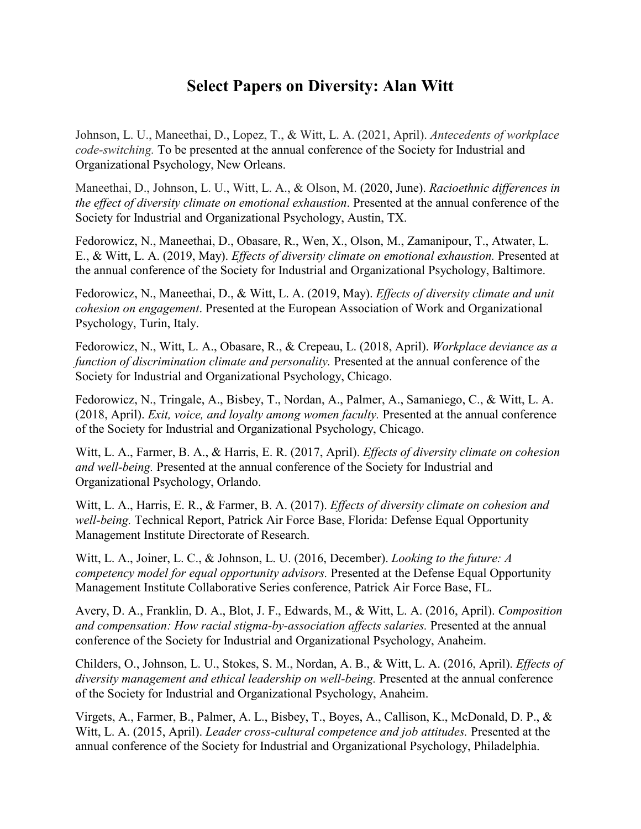## **Select Papers on Diversity: Alan Witt**

Johnson, L. U., Maneethai, D., Lopez, T., & Witt, L. A. (2021, April). *Antecedents of workplace code-switching.* To be presented at the annual conference of the Society for Industrial and Organizational Psychology, New Orleans.

Maneethai, D., Johnson, L. U., Witt, L. A., & Olson, M. (2020, June). *Racioethnic differences in the effect of diversity climate on emotional exhaustion*. Presented at the annual conference of the Society for Industrial and Organizational Psychology, Austin, TX.

Fedorowicz, N., Maneethai, D., Obasare, R., Wen, X., Olson, M., Zamanipour, T., Atwater, L. E., & Witt, L. A. (2019, May). *Effects of diversity climate on emotional exhaustion.* Presented at the annual conference of the Society for Industrial and Organizational Psychology, Baltimore.

Fedorowicz, N., Maneethai, D., & Witt, L. A. (2019, May). *Effects of diversity climate and unit cohesion on engagement*. Presented at the European Association of Work and Organizational Psychology, Turin, Italy.

Fedorowicz, N., Witt, L. A., Obasare, R., & Crepeau, L. (2018, April). *Workplace deviance as a function of discrimination climate and personality.* Presented at the annual conference of the Society for Industrial and Organizational Psychology, Chicago.

Fedorowicz, N., Tringale, A., Bisbey, T., Nordan, A., Palmer, A., Samaniego, C., & Witt, L. A. (2018, April). *Exit, voice, and loyalty among women faculty.* Presented at the annual conference of the Society for Industrial and Organizational Psychology, Chicago.

Witt, L. A., Farmer, B. A., & Harris, E. R. (2017, April). *Effects of diversity climate on cohesion and well-being.* Presented at the annual conference of the Society for Industrial and Organizational Psychology, Orlando.

Witt, L. A., Harris, E. R., & Farmer, B. A. (2017). *Effects of diversity climate on cohesion and well-being.* Technical Report, Patrick Air Force Base, Florida: Defense Equal Opportunity Management Institute Directorate of Research.

Witt, L. A., Joiner, L. C., & Johnson, L. U. (2016, December). *Looking to the future: A competency model for equal opportunity advisors.* Presented at the Defense Equal Opportunity Management Institute Collaborative Series conference, Patrick Air Force Base, FL.

Avery, D. A., Franklin, D. A., Blot, J. F., Edwards, M., & Witt, L. A. (2016, April). *Composition and compensation: How racial stigma-by-association affects salaries.* Presented at the annual conference of the Society for Industrial and Organizational Psychology, Anaheim.

Childers, O., Johnson, L. U., Stokes, S. M., Nordan, A. B., & Witt, L. A. (2016, April). *Effects of diversity management and ethical leadership on well-being.* Presented at the annual conference of the Society for Industrial and Organizational Psychology, Anaheim.

Virgets, A., Farmer, B., Palmer, A. L., Bisbey, T., Boyes, A., Callison, K., McDonald, D. P., & Witt, L. A. (2015, April). *Leader cross-cultural competence and job attitudes.* Presented at the annual conference of the Society for Industrial and Organizational Psychology, Philadelphia.